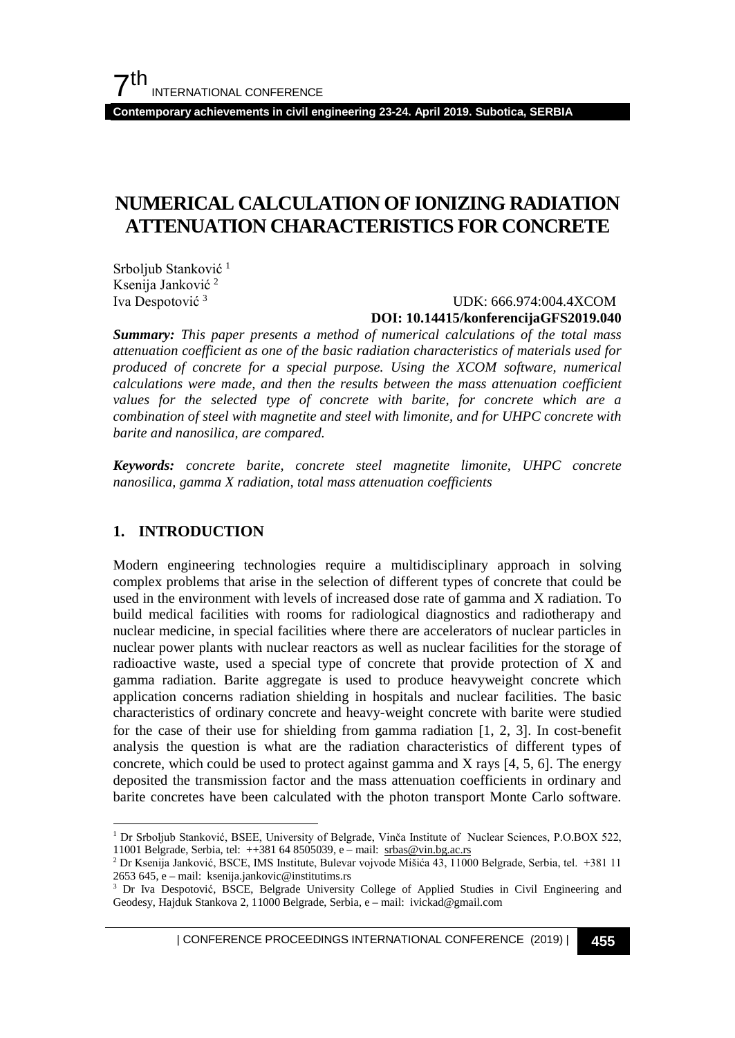**Contemporary achievements in civil engineering 23-24. April 2019. Subotica, SERBIA**

# **NUMERICAL CALCULATION OF IONIZING RADIATION ATTENUATION CHARACTERISTICS FOR CONCRETE**

Srboljub Stanković<sup>[1](#page-0-0)</sup> Ksenija Janković [2](#page-0-1) Iva Despotović [3](#page-0-2)

#### UDK: 666.974:004.4XCOM **DOI: 10.14415/konferencijaGFS2019.040**

*Summary: This paper presents a method of numerical calculations of the total mass attenuation coefficient as one of the basic radiation characteristics of materials used for produced of concrete for a special purpose. Using the XCOM software, numerical calculations were made, and then the results between the mass attenuation coefficient values for the selected type of concrete with barite, for concrete which are a combination of steel with magnetite and steel with limonite, and for UHPC concrete with barite and nanosilica, are compared.* 

*Keywords: concrete barite, concrete steel magnetite limonite, UHPC concrete nanosilica, gamma X radiation, total mass attenuation coefficients*

### **1. INTRODUCTION**

Modern engineering technologies require a multidisciplinary approach in solving complex problems that arise in the selection of different types of concrete that could be used in the environment with levels of increased dose rate of gamma and X radiation. To build medical facilities with rooms for radiological diagnostics and radiotherapy and nuclear medicine, in special facilities where there are accelerators of nuclear particles in nuclear power plants with nuclear reactors as well as nuclear facilities for the storage of radioactive waste, used a special type of concrete that provide protection of X and gamma radiation. Barite aggregate is used to produce heavyweight concrete which application concerns radiation shielding in hospitals and nuclear facilities. The basic characteristics of ordinary concrete and heavy-weight concrete with barite were studied for the case of their use for shielding from gamma radiation [1, 2, 3]. In cost-benefit analysis the question is what are the radiation characteristics of different types of concrete, which could be used to protect against gamma and X rays  $[4, 5, 6]$ . The energy deposited the transmission factor and the mass attenuation coefficients in ordinary and barite concretes have been calculated with the photon transport Monte Carlo software.

| CONFERENCE PROCEEDINGS INTERNATIONAL CONFERENCE (2019) <sup>|</sup>**455**

<span id="page-0-0"></span> <sup>1</sup> Dr Srboljub Stanković, BSEE, University of Belgrade, Vinča Institute of Nuclear Sciences, P.O.BOX 522, 11001 Belgrade, Serbia, tel: ++381 64 8505039, e – mail: [srbas@vin.bg.ac.rs](mailto:srbas@vin.bg.ac.rs)

<span id="page-0-1"></span><sup>2</sup> Dr Ksenija Janković, BSCE, IMS Institute, Bulevar vojvode Mišića 43, 11000 Belgrade, Serbia, tel. +381 11 2653 645, e – mail: ksenija.jankovic@institutims.rs

<span id="page-0-2"></span><sup>&</sup>lt;sup>3</sup> Dr Iva Despotović, BSCE, Belgrade University College of Applied Studies in Civil Engineering and Geodesy, Hajduk Stankova 2, 11000 Belgrade, Serbia, e – mail: ivickad@gmail.com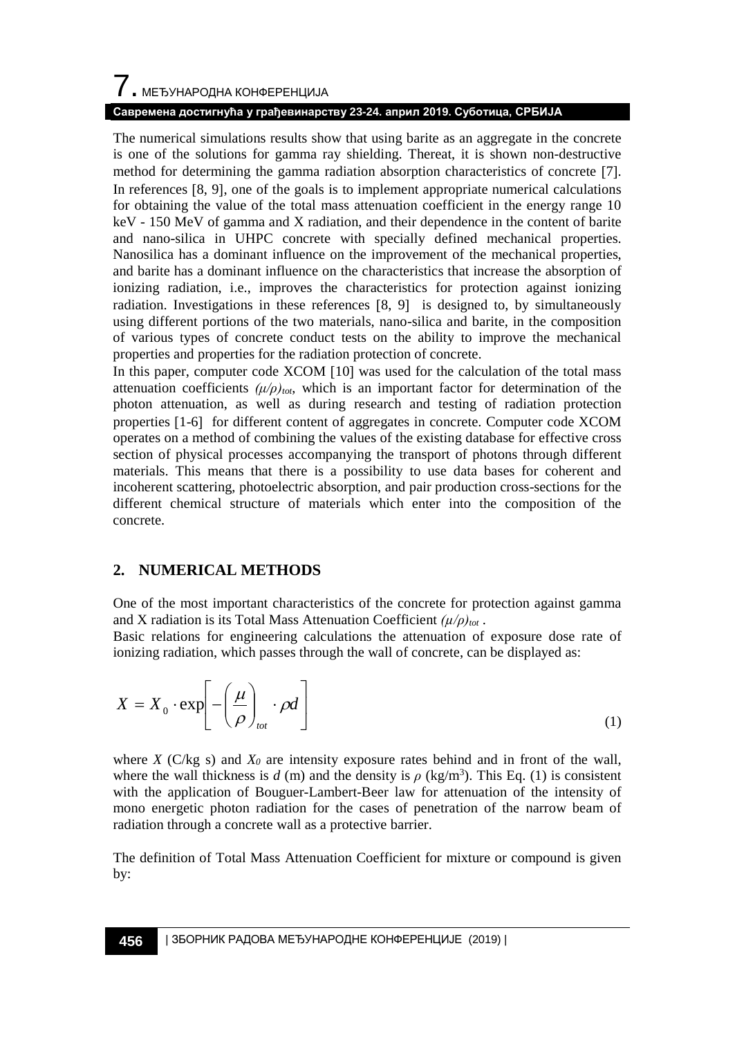# $\overline{\phantom{a}}$ . МЕЂУНАРОДНА КОНФЕРЕНЦИЈА

### **Савремена достигнућа у грађевинарству 23-24. април 2019. Суботица, СРБИЈА**

The numerical simulations results show that using barite as an aggregate in the concrete is one of the solutions for gamma ray shielding. Thereat, it is shown non-destructive method for determining the gamma radiation absorption characteristics of concrete [7]. In references [8, 9], one of the goals is to implement appropriate numerical calculations for obtaining the value of the total mass attenuation coefficient in the energy range 10 keV - 150 MeV of gamma and X radiation, and their dependence in the content of barite and nano-silica in UHPC concrete with specially defined mechanical properties. Nanosilica has a dominant influence on the improvement of the mechanical properties, and barite has a dominant influence on the characteristics that increase the absorption of ionizing radiation, i.e., improves the characteristics for protection against ionizing radiation. Investigations in these references [8, 9] is designed to, by simultaneously using different portions of the two materials, nano-silica and barite, in the composition of various types of concrete conduct tests on the ability to improve the mechanical properties and properties for the radiation protection of concrete.

In this paper, computer code XCOM [10] was used for the calculation of the total mass attenuation coefficients  $(\mu/\rho)_{tot}$ , which is an important factor for determination of the photon attenuation, as well as during research and testing of radiation protection properties [1-6] for different content of aggregates in concrete. Computer code XCOM operates on a method of combining the values of the existing database for effective cross section of physical processes accompanying the transport of photons through different materials. This means that there is a possibility to use data bases for coherent and incoherent scattering, photoelectric absorption, and pair production cross-sections for the different chemical structure of materials which enter into the composition of the concrete.

## **2. NUMERICAL METHODS**

One of the most important characteristics of the concrete for protection against gamma and X radiation is its Total Mass Attenuation Coefficient *(µ/ρ)tot* .

Basic relations for engineering calculations the attenuation of exposure dose rate of ionizing radiation, which passes through the wall of concrete, can be displayed as:

$$
X = X_0 \cdot \exp\left[-\left(\frac{\mu}{\rho}\right)_{tot} \cdot \rho d\right]
$$
 (1)

where *X* ( $C/kg$  s) and  $X_0$  are intensity exposure rates behind and in front of the wall, where the wall thickness is  $d$  (m) and the density is  $\rho$  (kg/m<sup>3</sup>). This Eq. (1) is consistent with the application of Bouguer-Lambert-Beer law for attenuation of the intensity of mono energetic photon radiation for the cases of penetration of the narrow beam of radiation through a concrete wall as a protective barrier.

The definition of Total Mass Attenuation Coefficient for mixture or compound is given by: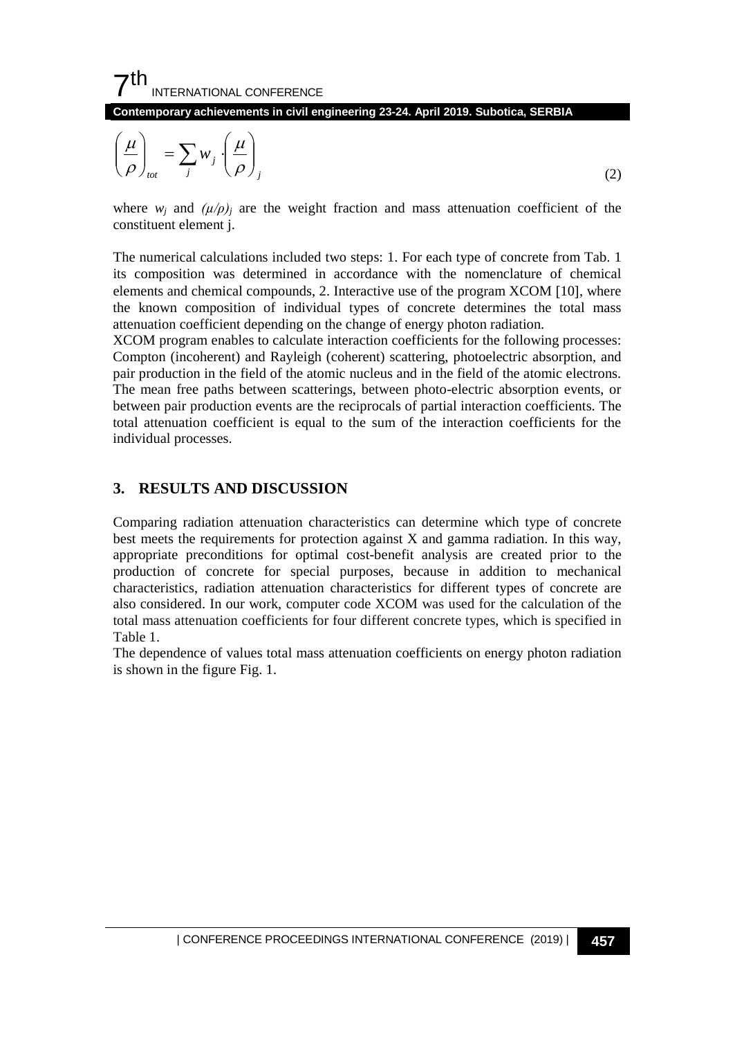$7<sup>th</sup>$ INTERNATIONAL CONFERENCE

**Contemporary achievements in civil engineering 23-24. April 2019. Subotica, SERBIA**

$$
\left(\frac{\mu}{\rho}\right)_{tot} = \sum_{j} w_j \left(\frac{\mu}{\rho}\right)_j \tag{2}
$$

where  $w_i$  and  $(\mu/\rho)_i$  are the weight fraction and mass attenuation coefficient of the constituent element j.

The numerical calculations included two steps: 1. For each type of concrete from Tab. 1 its composition was determined in accordance with the nomenclature of chemical elements and chemical compounds, 2. Interactive use of the program XCOM [10], where the known composition of individual types of concrete determines the total mass attenuation coefficient depending on the change of energy photon radiation.

XCOM program enables to calculate interaction coefficients for the following processes: Compton (incoherent) and Rayleigh (coherent) scattering, photoelectric absorption, and pair production in the field of the atomic nucleus and in the field of the atomic electrons. The mean free paths between scatterings, between photo-electric absorption events, or between pair production events are the reciprocals of partial interaction coefficients. The total attenuation coefficient is equal to the sum of the interaction coefficients for the individual processes.

#### **3. RESULTS AND DISCUSSION**

Comparing radiation attenuation characteristics can determine which type of concrete best meets the requirements for protection against X and gamma radiation. In this way, appropriate preconditions for optimal cost-benefit analysis are created prior to the production of concrete for special purposes, because in addition to mechanical characteristics, radiation attenuation characteristics for different types of concrete are also considered. In our work, computer code XCOM was used for the calculation of the total mass attenuation coefficients for four different concrete types, which is specified in Table 1.

The dependence of values total mass attenuation coefficients on energy photon radiation is shown in the figure Fig. 1.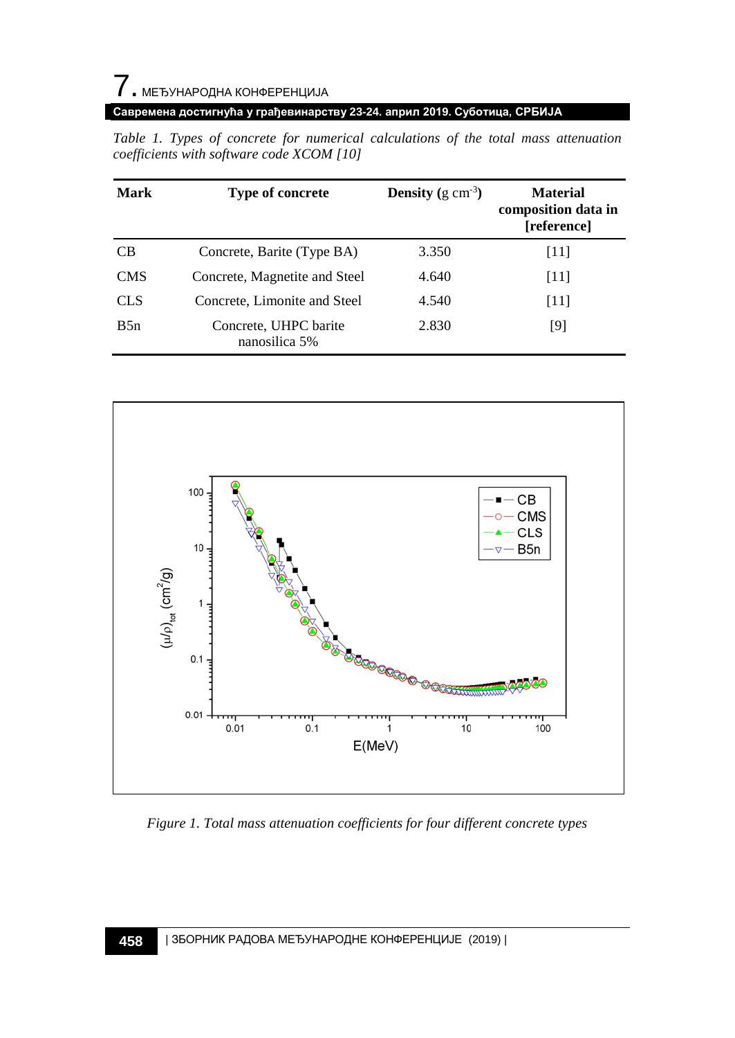# 7. МЕЂУНАРОДНА КОНФЕРЕНЦИЈА

#### **Савремена достигнућа у грађевинарству 23-24. април 2019. Суботица, СРБИЈА**

| <b>Mark</b> | <b>Type of concrete</b>                | <b>Density</b> (g cm <sup>-3</sup> ) | <b>Material</b><br>composition data in<br>[reference] |
|-------------|----------------------------------------|--------------------------------------|-------------------------------------------------------|
| <b>CB</b>   | Concrete, Barite (Type BA)             | 3.350                                | [11]                                                  |
| <b>CMS</b>  | Concrete, Magnetite and Steel          | 4.640                                | [11]                                                  |
| <b>CLS</b>  | Concrete, Limonite and Steel           | 4.540                                | [11]                                                  |
| B5n         | Concrete, UHPC barite<br>nanosilica 5% | 2.830                                | [9]                                                   |

*Table 1. Types of concrete for numerical calculations of the total mass attenuation coefficients with software code XCOM [10]*



*Figure 1. Total mass attenuation coefficients for four different concrete types*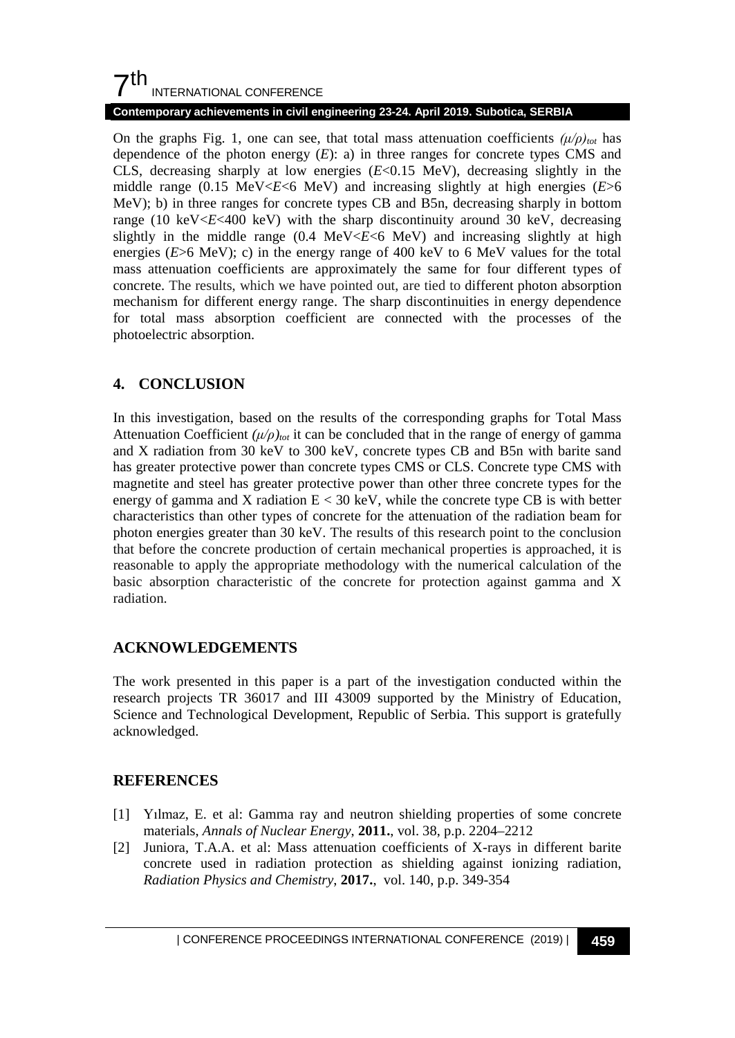## $7<sup>th</sup>$ INTERNATIONAL CONFERENCE

#### **Contemporary achievements in civil engineering 23-24. April 2019. Subotica, SERBIA**

On the graphs Fig. 1, one can see, that total mass attenuation coefficients  $(\mu/\rho)_{tot}$  has dependence of the photon energy  $(E)$ : a) in three ranges for concrete types CMS and CLS, decreasing sharply at low energies (*E*<0.15 MeV), decreasing slightly in the middle range (0.15 MeV $\lt E \lt 6$  MeV) and increasing slightly at high energies ( $E \gt 6$ ) MeV); b) in three ranges for concrete types CB and B5n, decreasing sharply in bottom range (10 keV $\leq E \leq 400$  keV) with the sharp discontinuity around 30 keV, decreasing slightly in the middle range  $(0.4 \text{ MeV} \ll \epsilon \ll 6 \text{ MeV})$  and increasing slightly at high energies (*E*>6 MeV); c) in the energy range of 400 keV to 6 MeV values for the total mass attenuation coefficients are approximately the same for four different types of concrete. The results, which we have pointed out, are tied to different photon absorption mechanism for different energy range. The sharp discontinuities in energy dependence for total mass absorption coefficient are connected with the processes of the photoelectric absorption.

## **4. CONCLUSION**

In this investigation, based on the results of the corresponding graphs for Total Mass Attenuation Coefficient  $(\mu/\rho)_{tot}$  it can be concluded that in the range of energy of gamma and X radiation from 30 keV to 300 keV, concrete types CB and B5n with barite sand has greater protective power than concrete types CMS or CLS. Concrete type CMS with magnetite and steel has greater protective power than other three concrete types for the energy of gamma and X radiation  $E < 30$  keV, while the concrete type CB is with better characteristics than other types of concrete for the attenuation of the radiation beam for photon energies greater than 30 keV. The results of this research point to the conclusion that before the concrete production of certain mechanical properties is approached, it is reasonable to apply the appropriate methodology with the numerical calculation of the basic absorption characteristic of the concrete for protection against gamma and X radiation.

## **ACKNOWLEDGEMENTS**

The work presented in this paper is a part of the investigation conducted within the research projects TR 36017 and III 43009 supported by the Ministry of Education, Science and Technological Development, Republic of Serbia. This support is gratefully acknowledged.

## **REFERENCES**

- [1] Yılmaz, E. et al: Gamma ray and neutron shielding properties of some concrete materials, *Annals of Nuclear Energy*, **2011.**, vol. 38, p.p. 2204–2212
- [2] Juniora, T.A.A. et al: Mass attenuation coefficients of X-rays in different barite concrete used in radiation protection as shielding against ionizing radiation, *Radiation Physics and Chemistry*, **2017.**, vol. 140, p.p. 349-354